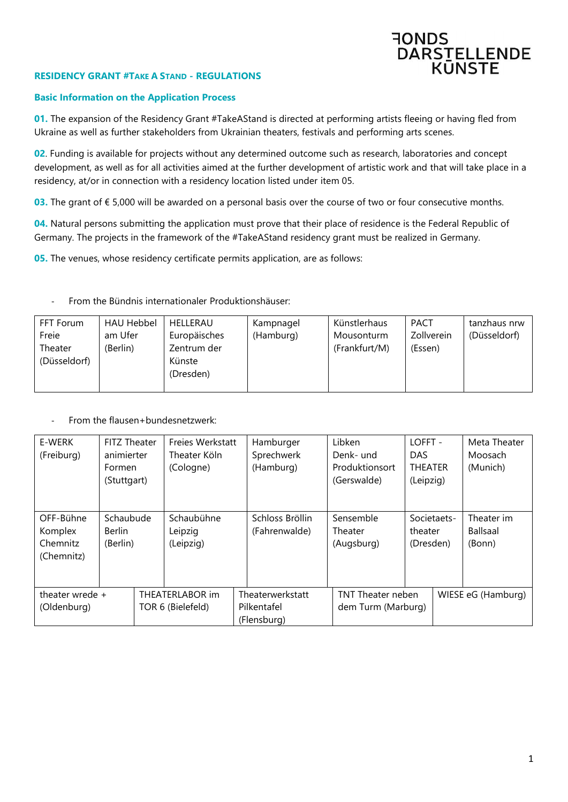

## **RESIDENCY GRANT #TAKE A STAND - REGULATIONS**

### **Basic Information on the Application Process**

**01.** The expansion of the Residency Grant #TakeAStand is directed at performing artists fleeing or having fled from Ukraine as well as further stakeholders from Ukrainian theaters, festivals and performing arts scenes.

**02**. Funding is available for projects without any determined outcome such as research, laboratories and concept development, as well as for all activities aimed at the further development of artistic work and that will take place in a residency, at/or in connection with a residency location listed under item 05.

**03.** The grant of € 5,000 will be awarded on a personal basis over the course of two or four consecutive months.

**04.** Natural persons submitting the application must prove that their place of residence is the Federal Republic of Germany. The projects in the framework of the #TakeAStand residency grant must be realized in Germany.

**05.** The venues, whose residency certificate permits application, are as follows:

| FFT Forum               | <b>HAU Hebbel</b> | HELLERAU                           | Kampnagel | Künstlerhaus  | <b>PACT</b>       | tanzhaus nrw |
|-------------------------|-------------------|------------------------------------|-----------|---------------|-------------------|--------------|
| Freie                   | am Ufer           | Europäisches                       | (Hamburg) | Mousonturm    | <b>Zollverein</b> | (Düsseldorf) |
| Theater<br>(Düsseldorf) | (Berlin)          | Zentrum der<br>Künste<br>(Dresden) |           | (Frankfurt/M) | (Essen)           |              |

#### - From the Bündnis internationaler Produktionshäuser:

From the flausen+bundesnetzwerk:

| E-WERK<br>(Freiburg)                           | <b>FITZ Theater</b><br>animierter<br>Formen<br>(Stuttgart) | Freies Werkstatt<br>Theater Köln<br>(Cologne) |  | Hamburger<br>Sprechwerk<br>(Hamburg)                                       | Libken<br>Denk- und<br>Produktionsort<br>(Gerswalde) | LOFFT -<br><b>DAS</b><br><b>THEATER</b><br>(Leipzig) |                    | Meta Theater<br>Moosach<br>(Munich) |
|------------------------------------------------|------------------------------------------------------------|-----------------------------------------------|--|----------------------------------------------------------------------------|------------------------------------------------------|------------------------------------------------------|--------------------|-------------------------------------|
| OFF-Bühne<br>Komplex<br>Chemnitz<br>(Chemnitz) | Schaubude<br><b>Berlin</b><br>(Berlin)                     | Schaubühne<br>Leipzig<br>(Leipzig)            |  | Schloss Bröllin<br>(Fahrenwalde)                                           | Sensemble<br>Theater<br>(Augsburg)                   | theater<br>(Dresden)                                 | Societaets-        | Theater im<br>Ballsaal<br>(Bonn)    |
| theater wrede $+$<br>(Oldenburg)               |                                                            | THEATERLABOR im<br>TOR 6 (Bielefeld)          |  | Theaterwerkstatt<br>TNT Theater neben<br>Pilkentafel<br>dem Turm (Marburg) |                                                      |                                                      | WIESE eG (Hamburg) |                                     |
|                                                |                                                            |                                               |  | (Flensburg)                                                                |                                                      |                                                      |                    |                                     |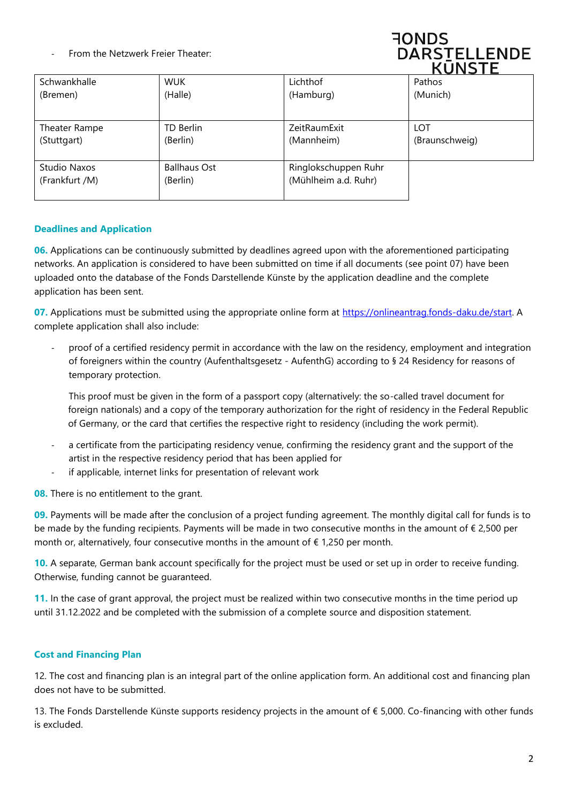From the Netzwerk Freier Theater:



|                |                     |                      | 11 UNIV        |
|----------------|---------------------|----------------------|----------------|
| Schwankhalle   | <b>WUK</b>          | Lichthof             | Pathos         |
| (Bremen)       | (Halle)             | (Hamburg)            | (Munich)       |
|                |                     |                      |                |
| Theater Rampe  | TD Berlin           | ZeitRaumExit         | LOT            |
| (Stuttgart)    | (Berlin)            | (Mannheim)           | (Braunschweig) |
|                |                     |                      |                |
| Studio Naxos   | <b>Ballhaus Ost</b> | Ringlokschuppen Ruhr |                |
| (Frankfurt /M) | (Berlin)            | (Mühlheim a.d. Ruhr) |                |
|                |                     |                      |                |

# **Deadlines and Application**

**06.** Applications can be continuously submitted by deadlines agreed upon with the aforementioned participating networks. An application is considered to have been submitted on time if all documents (see point 07) have been uploaded onto the database of the Fonds Darstellende Künste by the application deadline and the complete application has been sent.

**07.** Applications must be submitted using the appropriate online form at [https://onlineantrag.fonds-daku.de/start.](https://onlineantrag.fonds-daku.de/start) A complete application shall also include:

- proof of a certified residency permit in accordance with the law on the residency, employment and integration of foreigners within the country (Aufenthaltsgesetz - AufenthG) according to § 24 Residency for reasons of temporary protection.

This proof must be given in the form of a passport copy (alternatively: the so-called travel document for foreign nationals) and a copy of the temporary authorization for the right of residency in the Federal Republic of Germany, or the card that certifies the respective right to residency (including the work permit).

- a certificate from the participating residency venue, confirming the residency grant and the support of the artist in the respective residency period that has been applied for
- if applicable, internet links for presentation of relevant work

**08.** There is no entitlement to the grant.

**09.** Payments will be made after the conclusion of a project funding agreement. The monthly digital call for funds is to be made by the funding recipients. Payments will be made in two consecutive months in the amount of € 2,500 per month or, alternatively, four consecutive months in the amount of  $\epsilon$  1,250 per month.

**10.** A separate, German bank account specifically for the project must be used or set up in order to receive funding. Otherwise, funding cannot be guaranteed.

**11.** In the case of grant approval, the project must be realized within two consecutive months in the time period up until 31.12.2022 and be completed with the submission of a complete source and disposition statement.

## **Cost and Financing Plan**

12. The cost and financing plan is an integral part of the online application form. An additional cost and financing plan does not have to be submitted.

13. The Fonds Darstellende Künste supports residency projects in the amount of € 5,000. Co-financing with other funds is excluded.